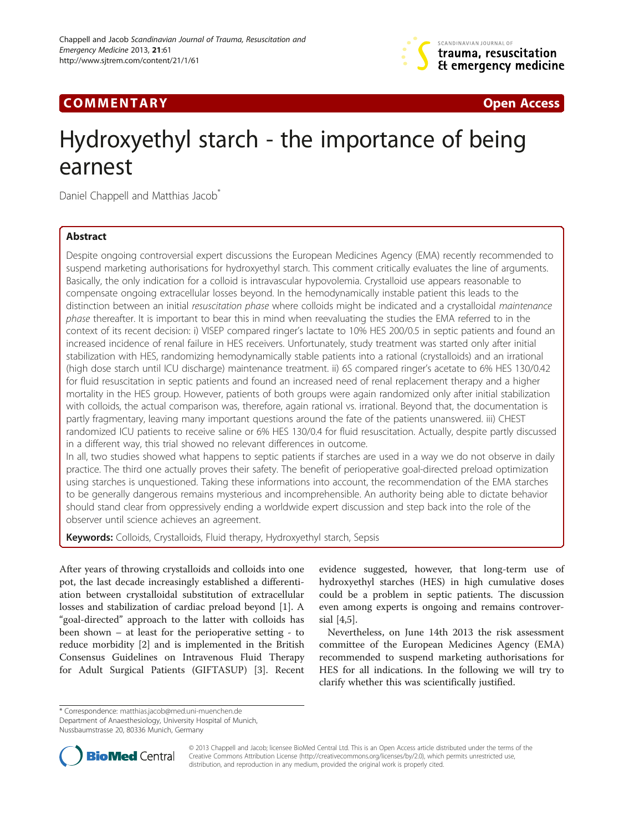

## **COMMENTARY COMMENTARY COMMENTARY**

# Hydroxyethyl starch - the importance of being earnest

Daniel Chappell and Matthias Jacob<sup>®</sup>

## Abstract

Despite ongoing controversial expert discussions the European Medicines Agency (EMA) recently recommended to suspend marketing authorisations for hydroxyethyl starch. This comment critically evaluates the line of arguments. Basically, the only indication for a colloid is intravascular hypovolemia. Crystalloid use appears reasonable to compensate ongoing extracellular losses beyond. In the hemodynamically instable patient this leads to the distinction between an initial resuscitation phase where colloids might be indicated and a crystalloidal maintenance phase thereafter. It is important to bear this in mind when reevaluating the studies the EMA referred to in the context of its recent decision: i) VISEP compared ringer's lactate to 10% HES 200/0.5 in septic patients and found an increased incidence of renal failure in HES receivers. Unfortunately, study treatment was started only after initial stabilization with HES, randomizing hemodynamically stable patients into a rational (crystalloids) and an irrational (high dose starch until ICU discharge) maintenance treatment. ii) 6S compared ringer's acetate to 6% HES 130/0.42 for fluid resuscitation in septic patients and found an increased need of renal replacement therapy and a higher mortality in the HES group. However, patients of both groups were again randomized only after initial stabilization with colloids, the actual comparison was, therefore, again rational vs. irrational. Beyond that, the documentation is partly fragmentary, leaving many important questions around the fate of the patients unanswered. iii) CHEST randomized ICU patients to receive saline or 6% HES 130/0.4 for fluid resuscitation. Actually, despite partly discussed in a different way, this trial showed no relevant differences in outcome.

In all, two studies showed what happens to septic patients if starches are used in a way we do not observe in daily practice. The third one actually proves their safety. The benefit of perioperative goal-directed preload optimization using starches is unquestioned. Taking these informations into account, the recommendation of the EMA starches to be generally dangerous remains mysterious and incomprehensible. An authority being able to dictate behavior should stand clear from oppressively ending a worldwide expert discussion and step back into the role of the observer until science achieves an agreement.

Keywords: Colloids, Crystalloids, Fluid therapy, Hydroxyethyl starch, Sepsis

After years of throwing crystalloids and colloids into one pot, the last decade increasingly established a differentiation between crystalloidal substitution of extracellular losses and stabilization of cardiac preload beyond [[1\]](#page-3-0). A "goal-directed" approach to the latter with colloids has been shown – at least for the perioperative setting - to reduce morbidity [\[2](#page-3-0)] and is implemented in the British Consensus Guidelines on Intravenous Fluid Therapy for Adult Surgical Patients (GIFTASUP) [[3\]](#page-3-0). Recent

evidence suggested, however, that long-term use of hydroxyethyl starches (HES) in high cumulative doses could be a problem in septic patients. The discussion even among experts is ongoing and remains controversial [\[4,5](#page-3-0)].

Nevertheless, on June 14th 2013 the risk assessment committee of the European Medicines Agency (EMA) recommended to suspend marketing authorisations for HES for all indications. In the following we will try to clarify whether this was scientifically justified.

\* Correspondence: [matthias.jacob@med.uni-muenchen.de](mailto:matthias.jacob@med.uni-muenchen.de)

Nussbaumstrasse 20, 80336 Munich, Germany



© 2013 Chappell and Jacob; licensee BioMed Central Ltd. This is an Open Access article distributed under the terms of the Creative Commons Attribution License (<http://creativecommons.org/licenses/by/2.0>), which permits unrestricted use, distribution, and reproduction in any medium, provided the original work is properly cited.

Department of Anaesthesiology, University Hospital of Munich,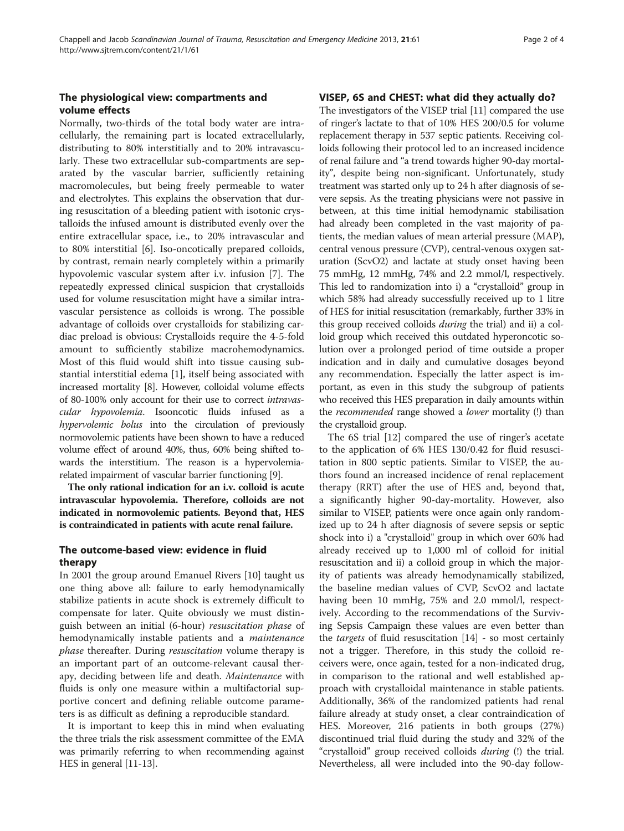## The physiological view: compartments and volume effects

Normally, two-thirds of the total body water are intracellularly, the remaining part is located extracellularly, distributing to 80% interstitially and to 20% intravascularly. These two extracellular sub-compartments are separated by the vascular barrier, sufficiently retaining macromolecules, but being freely permeable to water and electrolytes. This explains the observation that during resuscitation of a bleeding patient with isotonic crystalloids the infused amount is distributed evenly over the entire extracellular space, i.e., to 20% intravascular and to 80% interstitial [\[6](#page-3-0)]. Iso-oncotically prepared colloids, by contrast, remain nearly completely within a primarily hypovolemic vascular system after i.v. infusion [\[7\]](#page-3-0). The repeatedly expressed clinical suspicion that crystalloids used for volume resuscitation might have a similar intravascular persistence as colloids is wrong. The possible advantage of colloids over crystalloids for stabilizing cardiac preload is obvious: Crystalloids require the 4-5-fold amount to sufficiently stabilize macrohemodynamics. Most of this fluid would shift into tissue causing substantial interstitial edema [[1\]](#page-3-0), itself being associated with increased mortality [[8](#page-3-0)]. However, colloidal volume effects of 80-100% only account for their use to correct intravascular hypovolemia. Isooncotic fluids infused as a hypervolemic bolus into the circulation of previously normovolemic patients have been shown to have a reduced volume effect of around 40%, thus, 60% being shifted towards the interstitium. The reason is a hypervolemiarelated impairment of vascular barrier functioning [\[9](#page-3-0)].

The only rational indication for an i.v. colloid is acute intravascular hypovolemia. Therefore, colloids are not indicated in normovolemic patients. Beyond that, HES is contraindicated in patients with acute renal failure.

## The outcome-based view: evidence in fluid therapy

In 2001 the group around Emanuel Rivers [\[10](#page-3-0)] taught us one thing above all: failure to early hemodynamically stabilize patients in acute shock is extremely difficult to compensate for later. Quite obviously we must distinguish between an initial (6-hour) resuscitation phase of hemodynamically instable patients and a *maintenance* phase thereafter. During resuscitation volume therapy is an important part of an outcome-relevant causal therapy, deciding between life and death. Maintenance with fluids is only one measure within a multifactorial supportive concert and defining reliable outcome parameters is as difficult as defining a reproducible standard.

It is important to keep this in mind when evaluating the three trials the risk assessment committee of the EMA was primarily referring to when recommending against HES in general [\[11-13](#page-3-0)].

## VISEP, 6S and CHEST: what did they actually do?

The investigators of the VISEP trial [[11](#page-3-0)] compared the use of ringer's lactate to that of 10% HES 200/0.5 for volume replacement therapy in 537 septic patients. Receiving colloids following their protocol led to an increased incidence of renal failure and "a trend towards higher 90-day mortality", despite being non-significant. Unfortunately, study treatment was started only up to 24 h after diagnosis of severe sepsis. As the treating physicians were not passive in between, at this time initial hemodynamic stabilisation had already been completed in the vast majority of patients, the median values of mean arterial pressure (MAP), central venous pressure (CVP), central-venous oxygen saturation (ScvO2) and lactate at study onset having been 75 mmHg, 12 mmHg, 74% and 2.2 mmol/l, respectively. This led to randomization into i) a "crystalloid" group in which 58% had already successfully received up to 1 litre of HES for initial resuscitation (remarkably, further 33% in this group received colloids *during* the trial) and ii) a colloid group which received this outdated hyperoncotic solution over a prolonged period of time outside a proper indication and in daily and cumulative dosages beyond any recommendation. Especially the latter aspect is important, as even in this study the subgroup of patients who received this HES preparation in daily amounts within the *recommended* range showed a *lower* mortality (!) than the crystalloid group.

The 6S trial [[12\]](#page-3-0) compared the use of ringer's acetate to the application of 6% HES 130/0.42 for fluid resuscitation in 800 septic patients. Similar to VISEP, the authors found an increased incidence of renal replacement therapy (RRT) after the use of HES and, beyond that, a significantly higher 90-day-mortality. However, also similar to VISEP, patients were once again only randomized up to 24 h after diagnosis of severe sepsis or septic shock into i) a "crystalloid" group in which over 60% had already received up to 1,000 ml of colloid for initial resuscitation and ii) a colloid group in which the majority of patients was already hemodynamically stabilized, the baseline median values of CVP, ScvO2 and lactate having been 10 mmHg, 75% and 2.0 mmol/l, respectively. According to the recommendations of the Surviving Sepsis Campaign these values are even better than the *targets* of fluid resuscitation  $[14]$  $[14]$  - so most certainly not a trigger. Therefore, in this study the colloid receivers were, once again, tested for a non-indicated drug, in comparison to the rational and well established approach with crystalloidal maintenance in stable patients. Additionally, 36% of the randomized patients had renal failure already at study onset, a clear contraindication of HES. Moreover, 216 patients in both groups (27%) discontinued trial fluid during the study and 32% of the "crystalloid" group received colloids *during* (!) the trial. Nevertheless, all were included into the 90-day follow-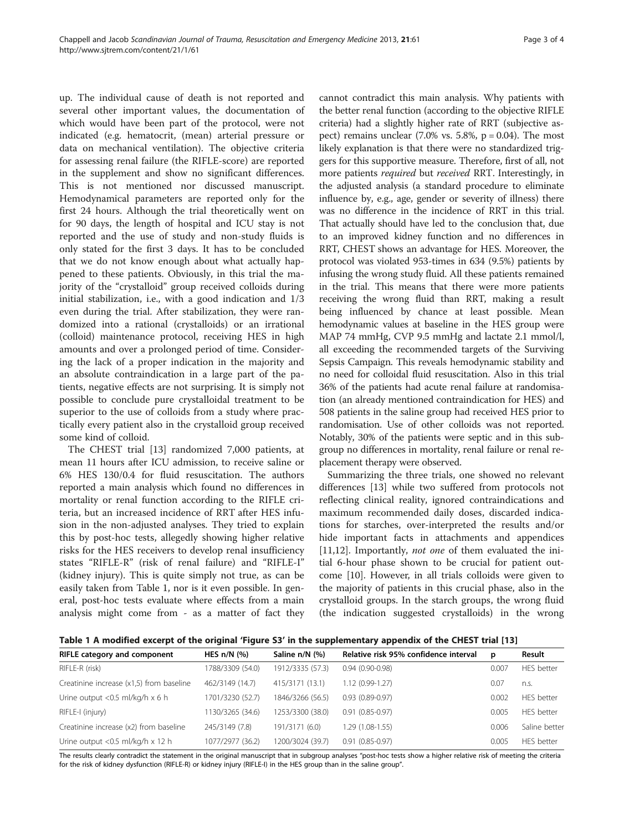up. The individual cause of death is not reported and several other important values, the documentation of which would have been part of the protocol, were not indicated (e.g. hematocrit, (mean) arterial pressure or data on mechanical ventilation). The objective criteria for assessing renal failure (the RIFLE-score) are reported in the supplement and show no significant differences. This is not mentioned nor discussed manuscript. Hemodynamical parameters are reported only for the first 24 hours. Although the trial theoretically went on for 90 days, the length of hospital and ICU stay is not reported and the use of study and non-study fluids is only stated for the first 3 days. It has to be concluded that we do not know enough about what actually happened to these patients. Obviously, in this trial the majority of the "crystalloid" group received colloids during initial stabilization, i.e., with a good indication and 1/3 even during the trial. After stabilization, they were randomized into a rational (crystalloids) or an irrational (colloid) maintenance protocol, receiving HES in high amounts and over a prolonged period of time. Considering the lack of a proper indication in the majority and an absolute contraindication in a large part of the patients, negative effects are not surprising. It is simply not possible to conclude pure crystalloidal treatment to be superior to the use of colloids from a study where practically every patient also in the crystalloid group received some kind of colloid.

The CHEST trial [\[13\]](#page-3-0) randomized 7,000 patients, at mean 11 hours after ICU admission, to receive saline or 6% HES 130/0.4 for fluid resuscitation. The authors reported a main analysis which found no differences in mortality or renal function according to the RIFLE criteria, but an increased incidence of RRT after HES infusion in the non-adjusted analyses. They tried to explain this by post-hoc tests, allegedly showing higher relative risks for the HES receivers to develop renal insufficiency states "RIFLE-R" (risk of renal failure) and "RIFLE-I" (kidney injury). This is quite simply not true, as can be easily taken from Table 1, nor is it even possible. In general, post-hoc tests evaluate where effects from a main analysis might come from - as a matter of fact they

cannot contradict this main analysis. Why patients with the better renal function (according to the objective RIFLE criteria) had a slightly higher rate of RRT (subjective aspect) remains unclear  $(7.0\% \text{ vs. } 5.8\%, \text{ p} = 0.04)$ . The most likely explanation is that there were no standardized triggers for this supportive measure. Therefore, first of all, not more patients *required* but *received* RRT. Interestingly, in the adjusted analysis (a standard procedure to eliminate influence by, e.g., age, gender or severity of illness) there was no difference in the incidence of RRT in this trial. That actually should have led to the conclusion that, due to an improved kidney function and no differences in RRT, CHEST shows an advantage for HES. Moreover, the protocol was violated 953-times in 634 (9.5%) patients by infusing the wrong study fluid. All these patients remained in the trial. This means that there were more patients receiving the wrong fluid than RRT, making a result being influenced by chance at least possible. Mean hemodynamic values at baseline in the HES group were MAP 74 mmHg, CVP 9.5 mmHg and lactate 2.1 mmol/l, all exceeding the recommended targets of the Surviving Sepsis Campaign. This reveals hemodynamic stability and no need for colloidal fluid resuscitation. Also in this trial 36% of the patients had acute renal failure at randomisation (an already mentioned contraindication for HES) and 508 patients in the saline group had received HES prior to randomisation. Use of other colloids was not reported. Notably, 30% of the patients were septic and in this subgroup no differences in mortality, renal failure or renal replacement therapy were observed.

Summarizing the three trials, one showed no relevant differences [[13](#page-3-0)] while two suffered from protocols not reflecting clinical reality, ignored contraindications and maximum recommended daily doses, discarded indications for starches, over-interpreted the results and/or hide important facts in attachments and appendices [[11,12\]](#page-3-0). Importantly, *not one* of them evaluated the initial 6-hour phase shown to be crucial for patient outcome [\[10\]](#page-3-0). However, in all trials colloids were given to the majority of patients in this crucial phase, also in the crystalloid groups. In the starch groups, the wrong fluid (the indication suggested crystalloids) in the wrong

Table 1 A modified excerpt of the original 'Figure S3' in the supplementary appendix of the CHEST trial [[13](#page-3-0)]

| <b>RIFLE category and component</b>       | HES $n/N$ (%)    | Saline n/N (%)   | Relative risk 95% confidence interval | p     | Result            |
|-------------------------------------------|------------------|------------------|---------------------------------------|-------|-------------------|
| RIFLE-R (risk)                            | 1788/3309 (54.0) | 1912/3335 (57.3) | $0.94(0.90-0.98)$                     | 0.007 | HES better        |
| Creatinine increase (x1,5) from baseline  | 462/3149 (14.7)  | 415/3171 (13.1)  | $1.12(0.99-1.27)$                     | 0.07  | n.S.              |
| Urine output < $0.5$ ml/kg/h $\times$ 6 h | 1701/3230 (52.7) | 1846/3266 (56.5) | $0.93(0.89 - 0.97)$                   | 0.002 | <b>HES</b> better |
| RIFLE-I (injury)                          | 1130/3265 (34.6) | 1253/3300 (38.0) | $0.91(0.85 - 0.97)$                   | 0.005 | <b>HES</b> better |
| Creatinine increase (x2) from baseline    | 245/3149 (7.8)   | 191/3171 (6.0)   | 1.29 (1.08-1.55)                      | 0.006 | Saline better     |
| Urine output < $0.5$ ml/kg/h x 12 h       | 1077/2977 (36.2) | 1200/3024 (39.7) | $0.91(0.85 - 0.97)$                   | 0.005 | HFS better        |

The results clearly contradict the statement in the original manuscript that in subgroup analyses "post-hoc tests show a higher relative risk of meeting the criteria for the risk of kidney dysfunction (RIFLE-R) or kidney injury (RIFLE-I) in the HES group than in the saline group".